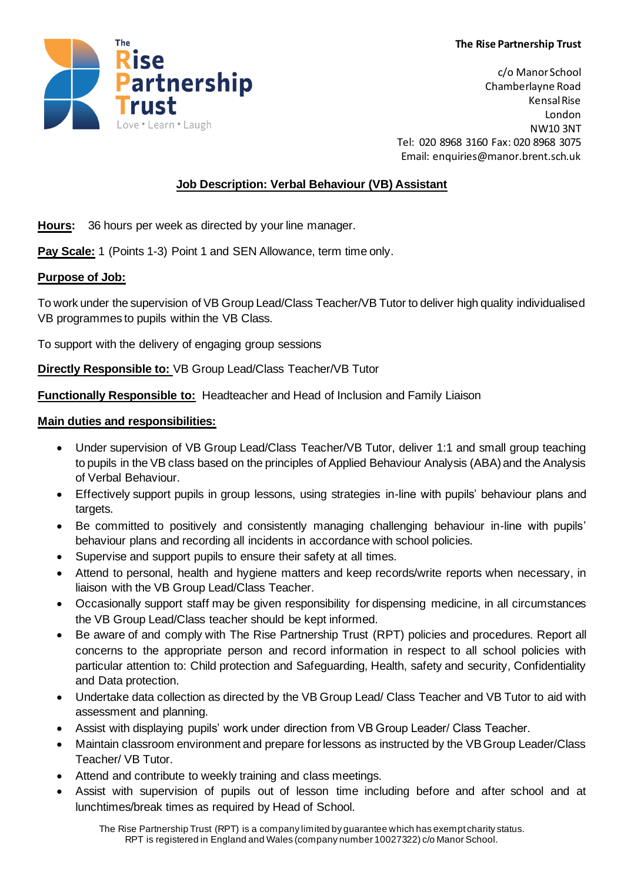

c/o Manor School Chamberlayne Road Kensal Rise London NW10 3NT Tel: 020 8968 3160 Fax: 020 8968 3075 Email: enquiries@manor.brent.sch.uk

# **Job Description: Verbal Behaviour (VB) Assistant**

**Hours:** 36 hours per week as directed by your line manager.

**Pay Scale:** 1 (Points 1-3) Point 1 and SEN Allowance, term time only.

## **Purpose of Job:**

To work under the supervision of VB Group Lead/Class Teacher/VB Tutor to deliver high quality individualised VB programmes to pupils within the VB Class.

To support with the delivery of engaging group sessions

**Directly Responsible to:** VB Group Lead/Class Teacher/VB Tutor

**Functionally Responsible to:** Headteacher and Head of Inclusion and Family Liaison

## **Main duties and responsibilities:**

- Under supervision of VB Group Lead/Class Teacher/VB Tutor, deliver 1:1 and small group teaching to pupils in the VB class based on the principles of Applied Behaviour Analysis (ABA) and the Analysis of Verbal Behaviour.
- Effectively support pupils in group lessons, using strategies in-line with pupils' behaviour plans and targets.
- Be committed to positively and consistently managing challenging behaviour in-line with pupils' behaviour plans and recording all incidents in accordance with school policies.
- Supervise and support pupils to ensure their safety at all times.
- Attend to personal, health and hygiene matters and keep records/write reports when necessary, in liaison with the VB Group Lead/Class Teacher.
- Occasionally support staff may be given responsibility for dispensing medicine, in all circumstances the VB Group Lead/Class teacher should be kept informed.
- Be aware of and comply with The Rise Partnership Trust (RPT) policies and procedures. Report all concerns to the appropriate person and record information in respect to all school policies with particular attention to: Child protection and Safeguarding, Health, safety and security, Confidentiality and Data protection.
- Undertake data collection as directed by the VB Group Lead/ Class Teacher and VB Tutor to aid with assessment and planning.
- Assist with displaying pupils' work under direction from VB Group Leader/ Class Teacher.
- Maintain classroom environment and prepare for lessons as instructed by the VB Group Leader/Class Teacher/ VB Tutor.
- Attend and contribute to weekly training and class meetings.
- Assist with supervision of pupils out of lesson time including before and after school and at lunchtimes/break times as required by Head of School.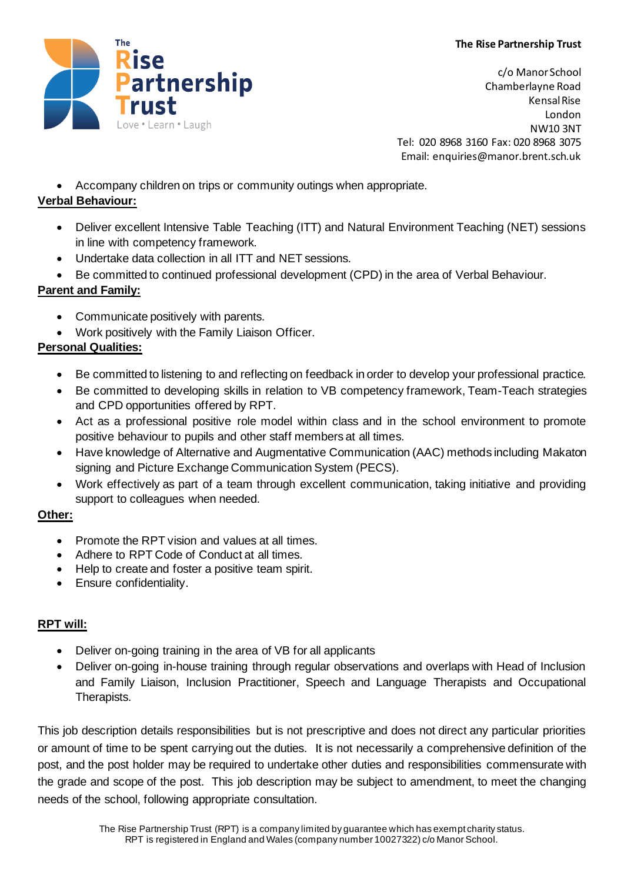#### **The Rise Partnership Trust**



c/o Manor School Chamberlayne Road Kensal Rise London NW10 3NT Tel: 020 8968 3160 Fax: 020 8968 3075 Email: enquiries@manor.brent.sch.uk

• Accompany children on trips or community outings when appropriate.

## **Verbal Behaviour:**

- Deliver excellent Intensive Table Teaching (ITT) and Natural Environment Teaching (NET) sessions in line with competency framework.
- Undertake data collection in all ITT and NET sessions.
- Be committed to continued professional development (CPD) in the area of Verbal Behaviour.

## **Parent and Family:**

- Communicate positively with parents.
- Work positively with the Family Liaison Officer.

## **Personal Qualities:**

- Be committed to listening to and reflecting on feedback in order to develop your professional practice.
- Be committed to developing skills in relation to VB competency framework, Team-Teach strategies and CPD opportunities offered by RPT.
- Act as a professional positive role model within class and in the school environment to promote positive behaviour to pupils and other staff members at all times.
- Have knowledge of Alternative and Augmentative Communication (AAC) methods including Makaton signing and Picture Exchange Communication System (PECS).
- Work effectively as part of a team through excellent communication, taking initiative and providing support to colleagues when needed.

#### **Other:**

- Promote the RPT vision and values at all times.
- Adhere to RPT Code of Conduct at all times.
- Help to create and foster a positive team spirit.
- Ensure confidentiality.

## **RPT will:**

- Deliver on-going training in the area of VB for all applicants
- Deliver on-going in-house training through regular observations and overlaps with Head of Inclusion and Family Liaison, Inclusion Practitioner, Speech and Language Therapists and Occupational Therapists.

This job description details responsibilities but is not prescriptive and does not direct any particular priorities or amount of time to be spent carrying out the duties. It is not necessarily a comprehensive definition of the post, and the post holder may be required to undertake other duties and responsibilities commensurate with the grade and scope of the post. This job description may be subject to amendment, to meet the changing needs of the school, following appropriate consultation.